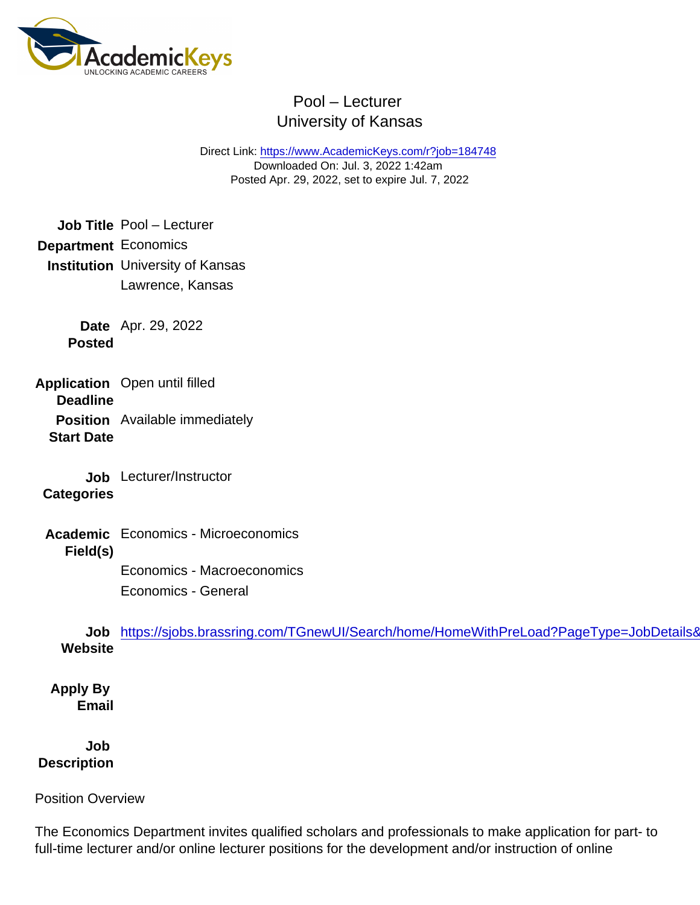Direct Link: <https://www.AcademicKeys.com/r?job=184748> Downloaded On: Jul. 3, 2022 1:42am Posted Apr. 29, 2022, set to expire Jul. 7, 2022

Job Title Pool – Lecturer Department Economics Institution University of Kansas Lawrence, Kansas

> Date Apr. 29, 2022 Posted

Application Deadline Open until filled

Position Available immediately Start Date

Job Lecturer/Instructor **Categories** 

Academic Field(s) Economics - Microeconomics

> Economics - Macroeconomics Economics - General

Job **Website** https://sjobs.brassring.com/TGnewUI/Search/home/HomeWithPreLoad?PageType=JobDetails&

Apply By Email

Job **Description** 

Position Overview

The Economics Department invites qualified scholars and professionals to make application for part- to full-time lecturer and/or online lecturer positions for the development and/or instruction of online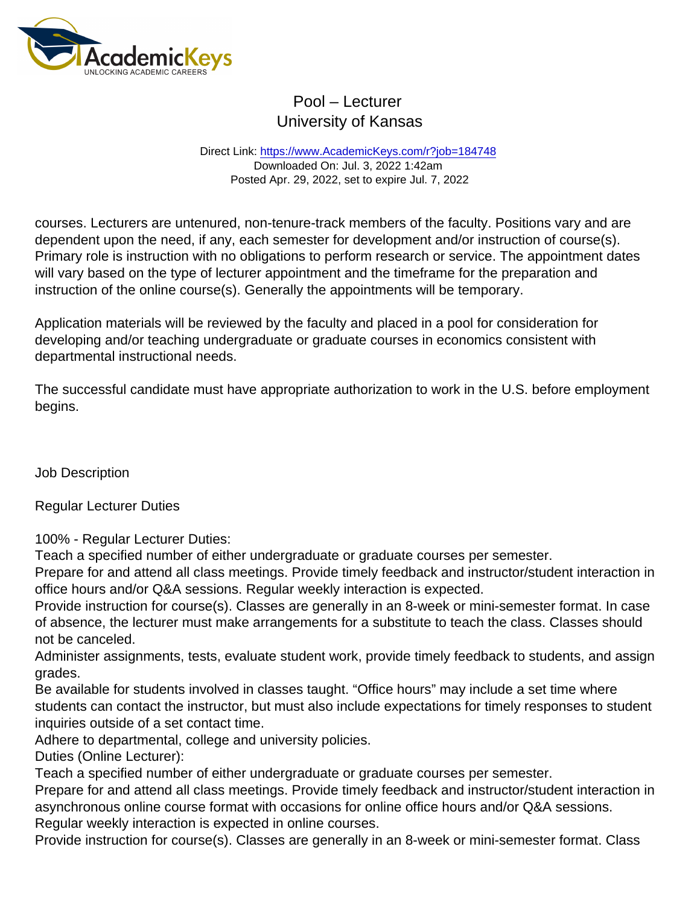Direct Link: <https://www.AcademicKeys.com/r?job=184748> Downloaded On: Jul. 3, 2022 1:42am Posted Apr. 29, 2022, set to expire Jul. 7, 2022

courses. Lecturers are untenured, non-tenure-track members of the faculty. Positions vary and are dependent upon the need, if any, each semester for development and/or instruction of course(s). Primary role is instruction with no obligations to perform research or service. The appointment dates will vary based on the type of lecturer appointment and the timeframe for the preparation and instruction of the online course(s). Generally the appointments will be temporary.

Application materials will be reviewed by the faculty and placed in a pool for consideration for developing and/or teaching undergraduate or graduate courses in economics consistent with departmental instructional needs.

The successful candidate must have appropriate authorization to work in the U.S. before employment begins.

Job Description

Regular Lecturer Duties

100% - Regular Lecturer Duties:

Teach a specified number of either undergraduate or graduate courses per semester.

Prepare for and attend all class meetings. Provide timely feedback and instructor/student interaction in office hours and/or Q&A sessions. Regular weekly interaction is expected.

Provide instruction for course(s). Classes are generally in an 8-week or mini-semester format. In case of absence, the lecturer must make arrangements for a substitute to teach the class. Classes should not be canceled.

Administer assignments, tests, evaluate student work, provide timely feedback to students, and assign grades.

Be available for students involved in classes taught. "Office hours" may include a set time where students can contact the instructor, but must also include expectations for timely responses to student inquiries outside of a set contact time.

Adhere to departmental, college and university policies.

Duties (Online Lecturer):

Teach a specified number of either undergraduate or graduate courses per semester.

Prepare for and attend all class meetings. Provide timely feedback and instructor/student interaction in asynchronous online course format with occasions for online office hours and/or Q&A sessions. Regular weekly interaction is expected in online courses.

Provide instruction for course(s). Classes are generally in an 8-week or mini-semester format. Class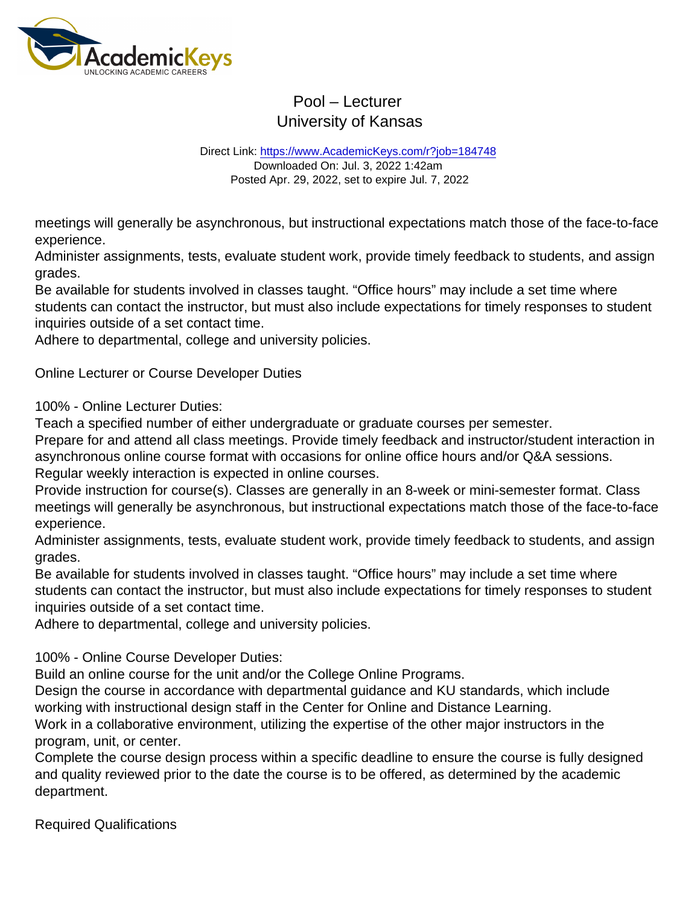Direct Link: <https://www.AcademicKeys.com/r?job=184748> Downloaded On: Jul. 3, 2022 1:42am Posted Apr. 29, 2022, set to expire Jul. 7, 2022

meetings will generally be asynchronous, but instructional expectations match those of the face-to-face experience.

Administer assignments, tests, evaluate student work, provide timely feedback to students, and assign grades.

Be available for students involved in classes taught. "Office hours" may include a set time where students can contact the instructor, but must also include expectations for timely responses to student inquiries outside of a set contact time.

Adhere to departmental, college and university policies.

Online Lecturer or Course Developer Duties

100% - Online Lecturer Duties:

Teach a specified number of either undergraduate or graduate courses per semester.

Prepare for and attend all class meetings. Provide timely feedback and instructor/student interaction in asynchronous online course format with occasions for online office hours and/or Q&A sessions. Regular weekly interaction is expected in online courses.

Provide instruction for course(s). Classes are generally in an 8-week or mini-semester format. Class meetings will generally be asynchronous, but instructional expectations match those of the face-to-face experience.

Administer assignments, tests, evaluate student work, provide timely feedback to students, and assign grades.

Be available for students involved in classes taught. "Office hours" may include a set time where students can contact the instructor, but must also include expectations for timely responses to student inquiries outside of a set contact time.

Adhere to departmental, college and university policies.

100% - Online Course Developer Duties:

Build an online course for the unit and/or the College Online Programs.

Design the course in accordance with departmental guidance and KU standards, which include working with instructional design staff in the Center for Online and Distance Learning.

Work in a collaborative environment, utilizing the expertise of the other major instructors in the program, unit, or center.

Complete the course design process within a specific deadline to ensure the course is fully designed and quality reviewed prior to the date the course is to be offered, as determined by the academic department.

Required Qualifications